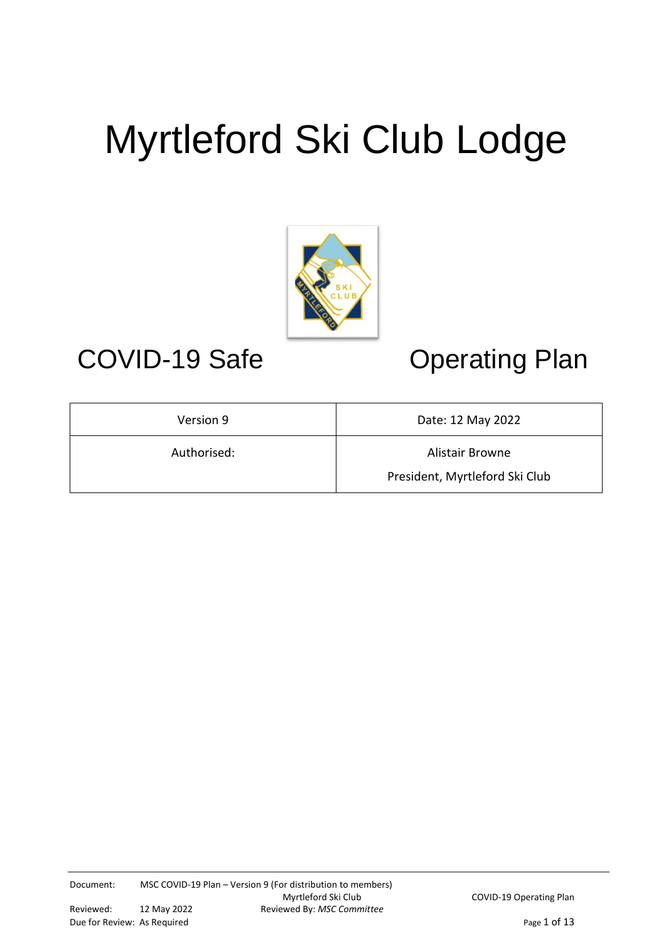# Myrtleford Ski Club Lodge



## COVID-19 Safe **Operating Plan**

| Version 9   | Date: 12 May 2022              |
|-------------|--------------------------------|
| Authorised: | Alistair Browne                |
|             | President, Myrtleford Ski Club |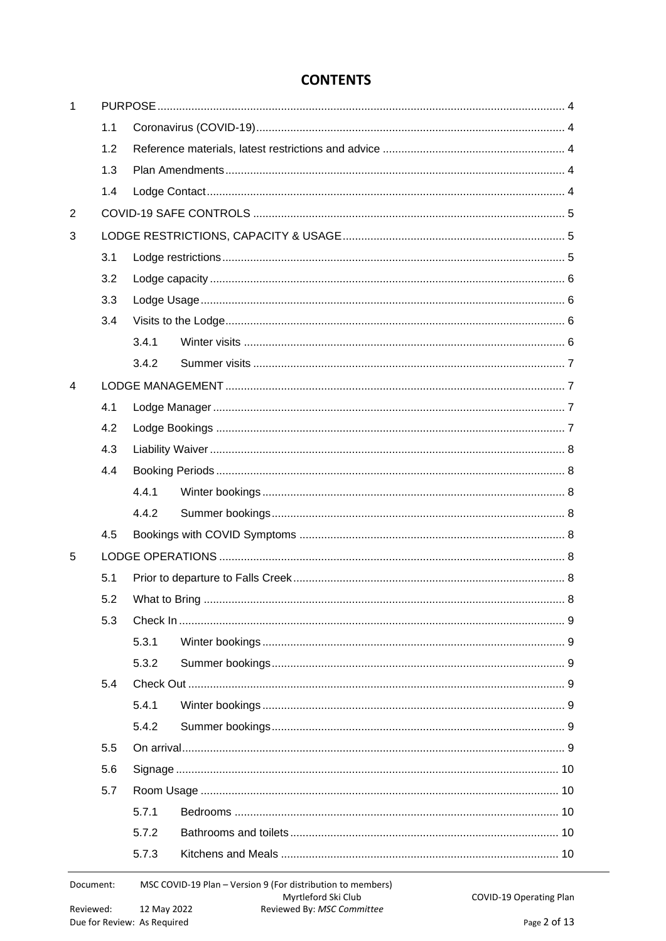#### **CONTENTS**

|                |     | 5.7.3 | $MSC$ $CONID$ 40 Plan. Monsion $Q$ (Four distribution to momentous) |  |  |  |
|----------------|-----|-------|---------------------------------------------------------------------|--|--|--|
|                |     | 5.7.2 |                                                                     |  |  |  |
|                |     | 5.7.1 |                                                                     |  |  |  |
|                | 5.7 |       |                                                                     |  |  |  |
|                | 5.6 |       |                                                                     |  |  |  |
|                | 5.5 |       |                                                                     |  |  |  |
|                |     | 5.4.2 |                                                                     |  |  |  |
|                |     | 5.4.1 |                                                                     |  |  |  |
|                | 5.4 |       |                                                                     |  |  |  |
|                |     | 5.3.2 |                                                                     |  |  |  |
|                |     | 5.3.1 |                                                                     |  |  |  |
|                | 5.3 |       |                                                                     |  |  |  |
|                | 5.2 |       |                                                                     |  |  |  |
|                | 5.1 |       |                                                                     |  |  |  |
| 5              |     |       |                                                                     |  |  |  |
|                | 4.5 |       |                                                                     |  |  |  |
|                |     | 4.4.2 |                                                                     |  |  |  |
|                |     | 4.4.1 |                                                                     |  |  |  |
| 4.4            |     |       |                                                                     |  |  |  |
|                | 4.3 |       |                                                                     |  |  |  |
|                | 4.2 |       |                                                                     |  |  |  |
|                | 4.1 |       |                                                                     |  |  |  |
| 4              |     |       |                                                                     |  |  |  |
|                |     | 3.4.2 |                                                                     |  |  |  |
|                |     | 3.4.1 |                                                                     |  |  |  |
|                | 3.4 |       |                                                                     |  |  |  |
| 3.3            |     |       |                                                                     |  |  |  |
|                | 3.2 |       |                                                                     |  |  |  |
|                | 3.1 |       |                                                                     |  |  |  |
| 3              |     |       |                                                                     |  |  |  |
| $\overline{2}$ |     |       |                                                                     |  |  |  |
|                | 1.4 |       |                                                                     |  |  |  |
|                | 1.3 |       |                                                                     |  |  |  |
|                | 1.2 |       |                                                                     |  |  |  |
|                | 1.1 |       |                                                                     |  |  |  |
| $\mathbf{1}$   |     |       |                                                                     |  |  |  |

Page 2 of 13

COVID-19 Operating Plan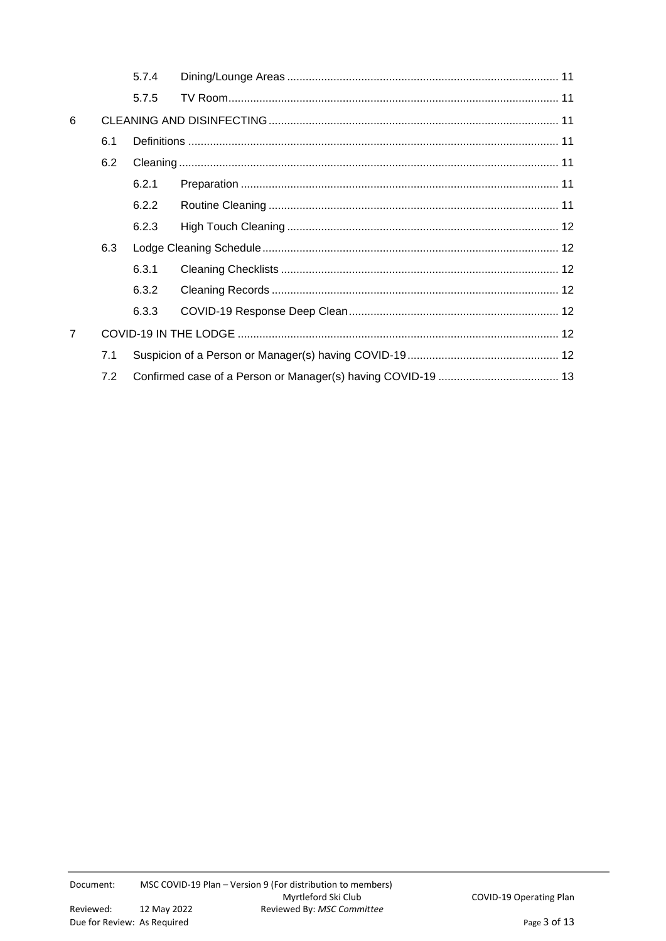|                |     | 5.7.4 |  |  |
|----------------|-----|-------|--|--|
|                |     | 5.7.5 |  |  |
| 6              |     |       |  |  |
|                | 6.1 |       |  |  |
|                | 6.2 |       |  |  |
|                |     | 6.2.1 |  |  |
|                |     | 6.2.2 |  |  |
|                |     | 6.2.3 |  |  |
|                | 6.3 |       |  |  |
|                |     | 6.3.1 |  |  |
|                |     | 6.3.2 |  |  |
|                |     | 6.3.3 |  |  |
| $\overline{7}$ |     |       |  |  |
|                | 7.1 |       |  |  |
|                | 7.2 |       |  |  |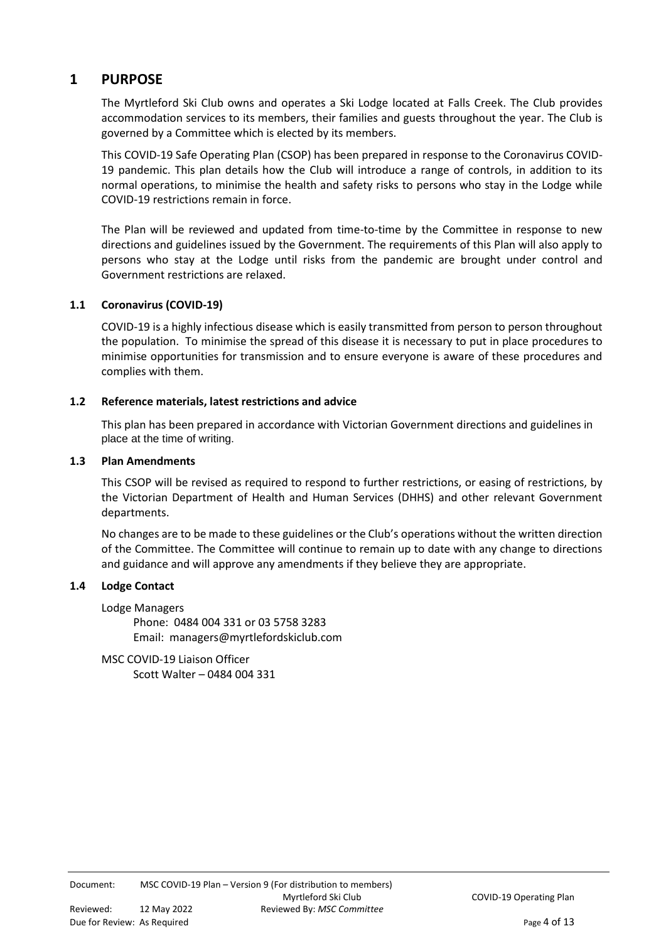#### <span id="page-3-0"></span>**1 PURPOSE**

The Myrtleford Ski Club owns and operates a Ski Lodge located at Falls Creek. The Club provides accommodation services to its members, their families and guests throughout the year. The Club is governed by a Committee which is elected by its members.

This COVID-19 Safe Operating Plan (CSOP) has been prepared in response to the Coronavirus COVID-19 pandemic. This plan details how the Club will introduce a range of controls, in addition to its normal operations, to minimise the health and safety risks to persons who stay in the Lodge while COVID-19 restrictions remain in force.

The Plan will be reviewed and updated from time-to-time by the Committee in response to new directions and guidelines issued by the Government. The requirements of this Plan will also apply to persons who stay at the Lodge until risks from the pandemic are brought under control and Government restrictions are relaxed.

#### <span id="page-3-1"></span>**1.1 Coronavirus (COVID-19)**

COVID-19 is a highly infectious disease which is easily transmitted from person to person throughout the population. To minimise the spread of this disease it is necessary to put in place procedures to minimise opportunities for transmission and to ensure everyone is aware of these procedures and complies with them.

#### <span id="page-3-2"></span>**1.2 Reference materials, latest restrictions and advice**

This plan has been prepared in accordance with Victorian Government directions and guidelines in place at the time of writing.

#### <span id="page-3-3"></span>**1.3 Plan Amendments**

This CSOP will be revised as required to respond to further restrictions, or easing of restrictions, by the Victorian Department of Health and Human Services (DHHS) and other relevant Government departments.

No changes are to be made to these guidelines or the Club's operations without the written direction of the Committee. The Committee will continue to remain up to date with any change to directions and guidance and will approve any amendments if they believe they are appropriate.

#### <span id="page-3-4"></span>**1.4 Lodge Contact**

Lodge Managers Phone: 0484 004 331 or 03 5758 3283 Email: managers@myrtlefordskiclub.com

MSC COVID-19 Liaison Officer Scott Walter – 0484 004 331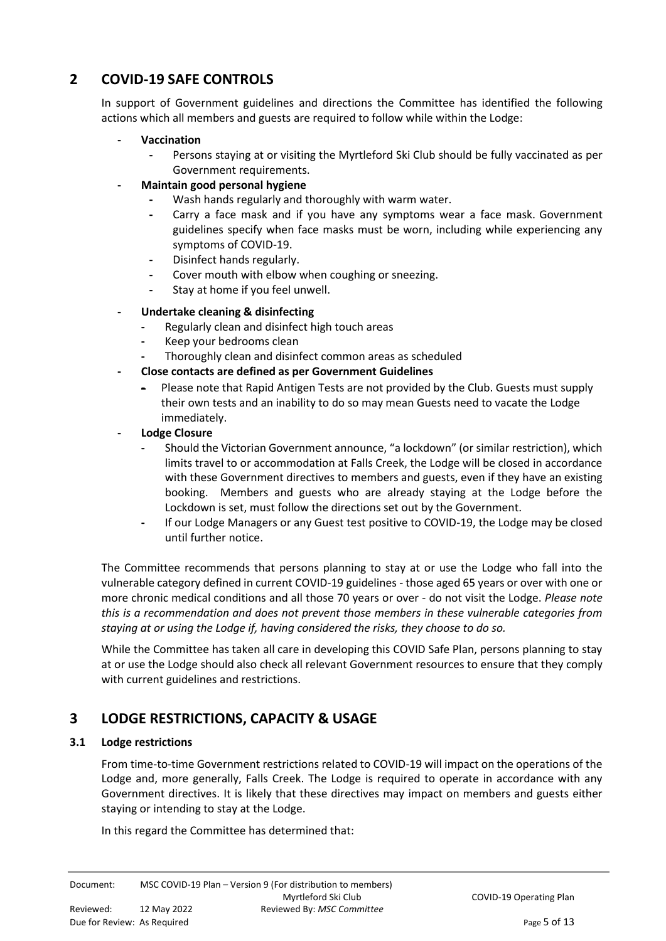### <span id="page-4-0"></span>**2 COVID-19 SAFE CONTROLS**

In support of Government guidelines and directions the Committee has identified the following actions which all members and guests are required to follow while within the Lodge:

#### **- Vaccination**

- **-** Persons staying at or visiting the Myrtleford Ski Club should be fully vaccinated as per Government requirements.
- **- Maintain good personal hygiene**
	- **-** Wash hands regularly and thoroughly with warm water.
	- **-** Carry a face mask and if you have any symptoms wear a face mask. Government guidelines specify when face masks must be worn, including while experiencing any symptoms of COVID-19.
	- **-** Disinfect hands regularly.
	- **-** Cover mouth with elbow when coughing or sneezing.
	- **-** Stay at home if you feel unwell.
- **- Undertake cleaning & disinfecting**
	- **-** Regularly clean and disinfect high touch areas
	- **-** Keep your bedrooms clean
	- **-** Thoroughly clean and disinfect common areas as scheduled
- **- Close contacts are defined as per Government Guidelines**
	- **-** Please note that Rapid Antigen Tests are not provided by the Club. Guests must supply their own tests and an inability to do so may mean Guests need to vacate the Lodge immediately.
- **- Lodge Closure**
	- **-** Should the Victorian Government announce, "a lockdown" (or similar restriction), which limits travel to or accommodation at Falls Creek, the Lodge will be closed in accordance with these Government directives to members and guests, even if they have an existing booking. Members and guests who are already staying at the Lodge before the Lockdown is set, must follow the directions set out by the Government.
	- **-** If our Lodge Managers or any Guest test positive to COVID-19, the Lodge may be closed until further notice.

The Committee recommends that persons planning to stay at or use the Lodge who fall into the vulnerable category defined in current COVID-19 guidelines - those aged 65 years or over with one or more chronic medical conditions and all those 70 years or over - do not visit the Lodge. *Please note this is a recommendation and does not prevent those members in these vulnerable categories from staying at or using the Lodge if, having considered the risks, they choose to do so.*

While the Committee has taken all care in developing this COVID Safe Plan, persons planning to stay at or use the Lodge should also check all relevant Government resources to ensure that they comply with current guidelines and restrictions.

#### <span id="page-4-1"></span>**3 LODGE RESTRICTIONS, CAPACITY & USAGE**

#### <span id="page-4-2"></span>**3.1 Lodge restrictions**

From time-to-time Government restrictions related to COVID-19 will impact on the operations of the Lodge and, more generally, Falls Creek. The Lodge is required to operate in accordance with any Government directives. It is likely that these directives may impact on members and guests either staying or intending to stay at the Lodge.

In this regard the Committee has determined that: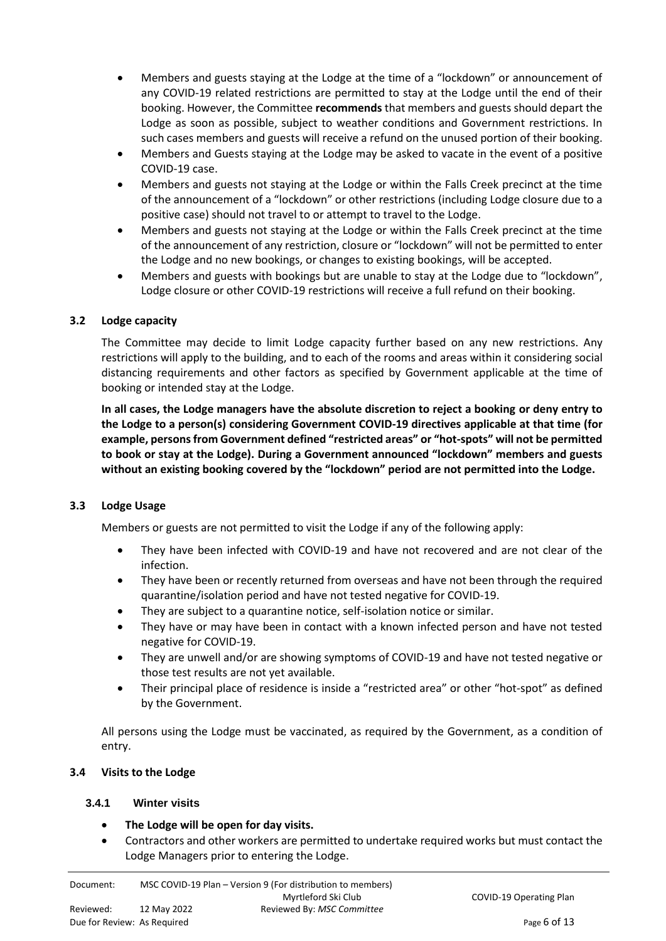- Members and guests staying at the Lodge at the time of a "lockdown" or announcement of any COVID-19 related restrictions are permitted to stay at the Lodge until the end of their booking. However, the Committee **recommends** that members and guests should depart the Lodge as soon as possible, subject to weather conditions and Government restrictions. In such cases members and guests will receive a refund on the unused portion of their booking.
- Members and Guests staying at the Lodge may be asked to vacate in the event of a positive COVID-19 case.
- Members and guests not staying at the Lodge or within the Falls Creek precinct at the time of the announcement of a "lockdown" or other restrictions (including Lodge closure due to a positive case) should not travel to or attempt to travel to the Lodge.
- Members and guests not staying at the Lodge or within the Falls Creek precinct at the time of the announcement of any restriction, closure or "lockdown" will not be permitted to enter the Lodge and no new bookings, or changes to existing bookings, will be accepted.
- Members and guests with bookings but are unable to stay at the Lodge due to "lockdown", Lodge closure or other COVID-19 restrictions will receive a full refund on their booking.

#### <span id="page-5-0"></span>**3.2 Lodge capacity**

The Committee may decide to limit Lodge capacity further based on any new restrictions. Any restrictions will apply to the building, and to each of the rooms and areas within it considering social distancing requirements and other factors as specified by Government applicable at the time of booking or intended stay at the Lodge.

**In all cases, the Lodge managers have the absolute discretion to reject a booking or deny entry to the Lodge to a person(s) considering Government COVID-19 directives applicable at that time (for example, persons from Government defined "restricted areas" or "hot-spots" will not be permitted to book or stay at the Lodge). During a Government announced "lockdown" members and guests without an existing booking covered by the "lockdown" period are not permitted into the Lodge.**

#### <span id="page-5-1"></span>**3.3 Lodge Usage**

Members or guests are not permitted to visit the Lodge if any of the following apply:

- They have been infected with COVID-19 and have not recovered and are not clear of the infection.
- They have been or recently returned from overseas and have not been through the required quarantine/isolation period and have not tested negative for COVID-19.
- They are subject to a quarantine notice, self-isolation notice or similar.
- They have or may have been in contact with a known infected person and have not tested negative for COVID-19.
- They are unwell and/or are showing symptoms of COVID-19 and have not tested negative or those test results are not yet available.
- Their principal place of residence is inside a "restricted area" or other "hot-spot" as defined by the Government.

All persons using the Lodge must be vaccinated, as required by the Government, as a condition of entry.

#### <span id="page-5-2"></span>**3.4 Visits to the Lodge**

#### <span id="page-5-3"></span>**3.4.1 Winter visits**

#### • **The Lodge will be open for day visits.**

• Contractors and other workers are permitted to undertake required works but must contact the Lodge Managers prior to entering the Lodge.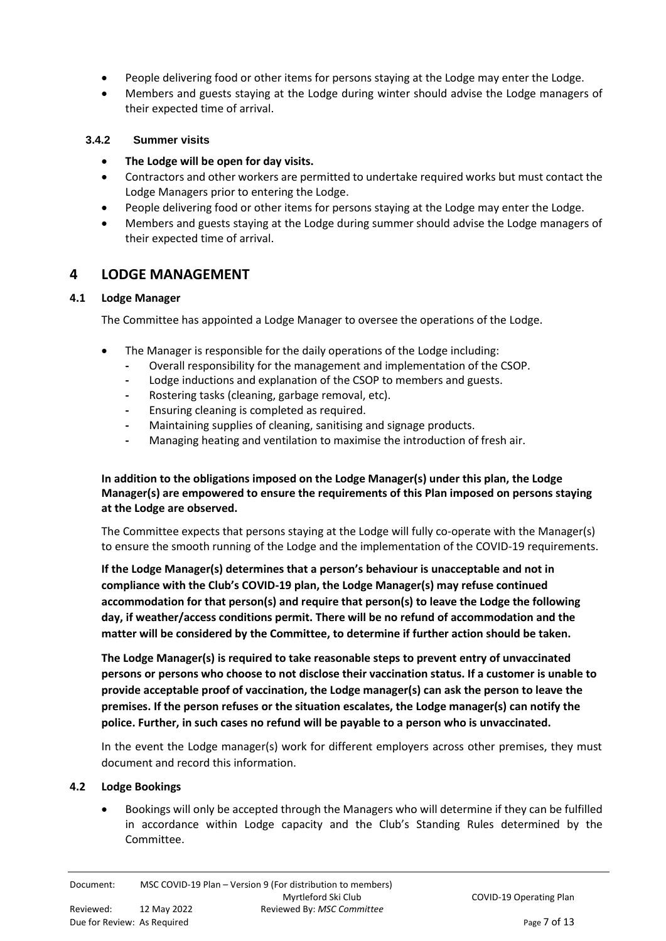- People delivering food or other items for persons staying at the Lodge may enter the Lodge.
- Members and guests staying at the Lodge during winter should advise the Lodge managers of their expected time of arrival.

#### <span id="page-6-0"></span>**3.4.2 Summer visits**

- **The Lodge will be open for day visits.**
- Contractors and other workers are permitted to undertake required works but must contact the Lodge Managers prior to entering the Lodge.
- People delivering food or other items for persons staying at the Lodge may enter the Lodge.
- Members and guests staying at the Lodge during summer should advise the Lodge managers of their expected time of arrival.

#### <span id="page-6-1"></span>**4 LODGE MANAGEMENT**

#### <span id="page-6-2"></span>**4.1 Lodge Manager**

The Committee has appointed a Lodge Manager to oversee the operations of the Lodge.

- The Manager is responsible for the daily operations of the Lodge including:
	- **-** Overall responsibility for the management and implementation of the CSOP.
	- **-** Lodge inductions and explanation of the CSOP to members and guests.
	- **-** Rostering tasks (cleaning, garbage removal, etc).
	- **-** Ensuring cleaning is completed as required.
	- **-** Maintaining supplies of cleaning, sanitising and signage products.
	- **-** Managing heating and ventilation to maximise the introduction of fresh air.

**In addition to the obligations imposed on the Lodge Manager(s) under this plan, the Lodge Manager(s) are empowered to ensure the requirements of this Plan imposed on persons staying at the Lodge are observed.** 

The Committee expects that persons staying at the Lodge will fully co-operate with the Manager(s) to ensure the smooth running of the Lodge and the implementation of the COVID-19 requirements.

**If the Lodge Manager(s) determines that a person's behaviour is unacceptable and not in compliance with the Club's COVID-19 plan, the Lodge Manager(s) may refuse continued accommodation for that person(s) and require that person(s) to leave the Lodge the following day, if weather/access conditions permit. There will be no refund of accommodation and the matter will be considered by the Committee, to determine if further action should be taken.**

**The Lodge Manager(s) is required to take reasonable steps to prevent entry of unvaccinated persons or persons who choose to not disclose their vaccination status. If a customer is unable to provide acceptable proof of vaccination, the Lodge manager(s) can ask the person to leave the premises. If the person refuses or the situation escalates, the Lodge manager(s) can notify the police. Further, in such cases no refund will be payable to a person who is unvaccinated.**

In the event the Lodge manager(s) work for different employers across other premises, they must document and record this information.

#### <span id="page-6-3"></span>**4.2 Lodge Bookings**

• Bookings will only be accepted through the Managers who will determine if they can be fulfilled in accordance within Lodge capacity and the Club's Standing Rules determined by the Committee.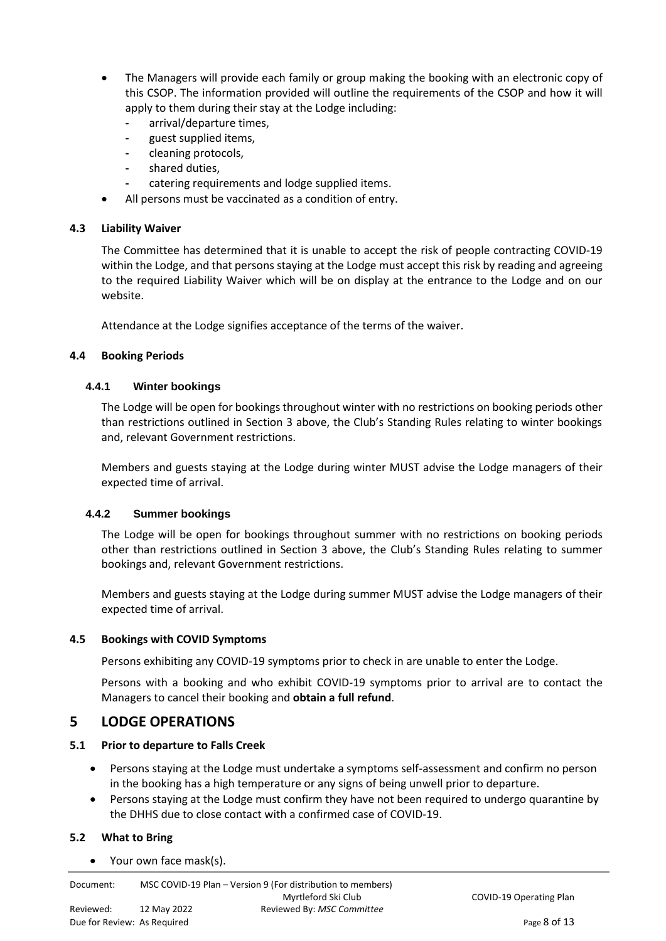- The Managers will provide each family or group making the booking with an electronic copy of this CSOP. The information provided will outline the requirements of the CSOP and how it will apply to them during their stay at the Lodge including:
	- **-** arrival/departure times,
	- **-** guest supplied items,
	- **-** cleaning protocols,
	- **-** shared duties,
	- **-** catering requirements and lodge supplied items.
- All persons must be vaccinated as a condition of entry.

#### <span id="page-7-0"></span>**4.3 Liability Waiver**

The Committee has determined that it is unable to accept the risk of people contracting COVID-19 within the Lodge, and that persons staying at the Lodge must accept this risk by reading and agreeing to the required Liability Waiver which will be on display at the entrance to the Lodge and on our website.

Attendance at the Lodge signifies acceptance of the terms of the waiver.

#### <span id="page-7-1"></span>**4.4 Booking Periods**

#### <span id="page-7-2"></span>**4.4.1 Winter bookings**

The Lodge will be open for bookings throughout winter with no restrictions on booking periods other than restrictions outlined in Section 3 above, the Club's Standing Rules relating to winter bookings and, relevant Government restrictions.

Members and guests staying at the Lodge during winter MUST advise the Lodge managers of their expected time of arrival.

#### <span id="page-7-3"></span>**4.4.2 Summer bookings**

The Lodge will be open for bookings throughout summer with no restrictions on booking periods other than restrictions outlined in Section 3 above, the Club's Standing Rules relating to summer bookings and, relevant Government restrictions.

Members and guests staying at the Lodge during summer MUST advise the Lodge managers of their expected time of arrival.

#### <span id="page-7-4"></span>**4.5 Bookings with COVID Symptoms**

Persons exhibiting any COVID-19 symptoms prior to check in are unable to enter the Lodge.

Persons with a booking and who exhibit COVID-19 symptoms prior to arrival are to contact the Managers to cancel their booking and **obtain a full refund**.

#### <span id="page-7-5"></span>**5 LODGE OPERATIONS**

#### <span id="page-7-6"></span>**5.1 Prior to departure to Falls Creek**

- Persons staying at the Lodge must undertake a symptoms self-assessment and confirm no person in the booking has a high temperature or any signs of being unwell prior to departure.
- Persons staying at the Lodge must confirm they have not been required to undergo quarantine by the DHHS due to close contact with a confirmed case of COVID-19.

#### <span id="page-7-7"></span>**5.2 What to Bring**

• Your own face mask(s).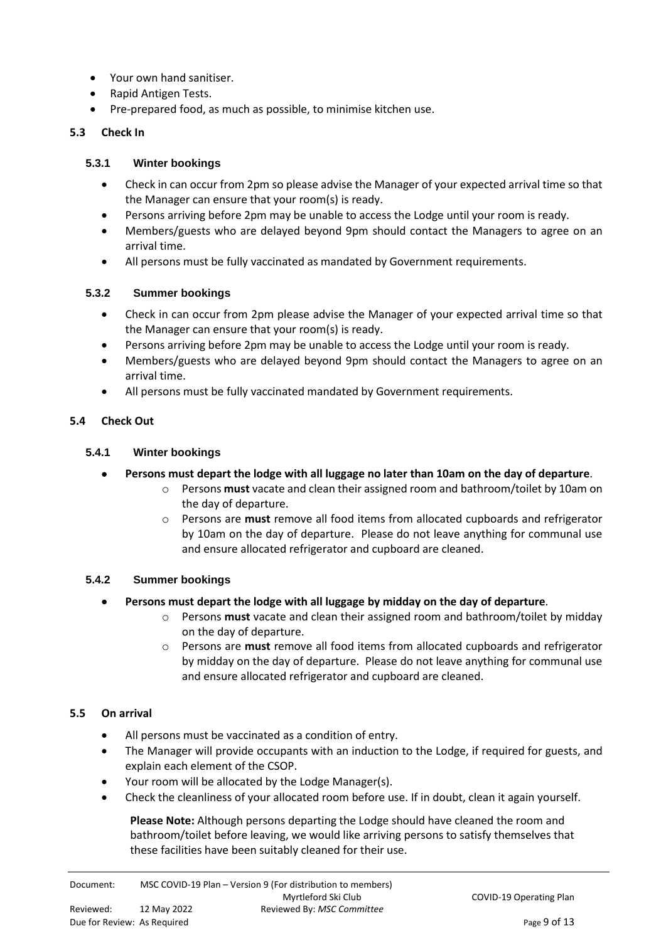- Your own hand sanitiser.
- Rapid Antigen Tests.
- Pre-prepared food, as much as possible, to minimise kitchen use.

#### <span id="page-8-0"></span>**5.3 Check In**

#### <span id="page-8-1"></span>**5.3.1 Winter bookings**

- Check in can occur from 2pm so please advise the Manager of your expected arrival time so that the Manager can ensure that your room(s) is ready.
- Persons arriving before 2pm may be unable to access the Lodge until your room is ready.
- Members/guests who are delayed beyond 9pm should contact the Managers to agree on an arrival time.
- All persons must be fully vaccinated as mandated by Government requirements.

#### <span id="page-8-2"></span>**5.3.2 Summer bookings**

- Check in can occur from 2pm please advise the Manager of your expected arrival time so that the Manager can ensure that your room(s) is ready.
- Persons arriving before 2pm may be unable to access the Lodge until your room is ready.
- Members/guests who are delayed beyond 9pm should contact the Managers to agree on an arrival time.
- All persons must be fully vaccinated mandated by Government requirements.

#### <span id="page-8-3"></span>**5.4 Check Out**

#### <span id="page-8-4"></span>**5.4.1 Winter bookings**

- **Persons must depart the lodge with all luggage no later than 10am on the day of departure**.
	- o Persons **must** vacate and clean their assigned room and bathroom/toilet by 10am on the day of departure.
	- o Persons are **must** remove all food items from allocated cupboards and refrigerator by 10am on the day of departure. Please do not leave anything for communal use and ensure allocated refrigerator and cupboard are cleaned.

#### <span id="page-8-5"></span>**5.4.2 Summer bookings**

#### • **Persons must depart the lodge with all luggage by midday on the day of departure**.

- o Persons **must** vacate and clean their assigned room and bathroom/toilet by midday on the day of departure.
- o Persons are **must** remove all food items from allocated cupboards and refrigerator by midday on the day of departure. Please do not leave anything for communal use and ensure allocated refrigerator and cupboard are cleaned.

#### <span id="page-8-6"></span>**5.5 On arrival**

- All persons must be vaccinated as a condition of entry.
- The Manager will provide occupants with an induction to the Lodge, if required for guests, and explain each element of the CSOP.
- Your room will be allocated by the Lodge Manager(s).
- Check the cleanliness of your allocated room before use. If in doubt, clean it again yourself.

**Please Note:** Although persons departing the Lodge should have cleaned the room and bathroom/toilet before leaving, we would like arriving persons to satisfy themselves that these facilities have been suitably cleaned for their use.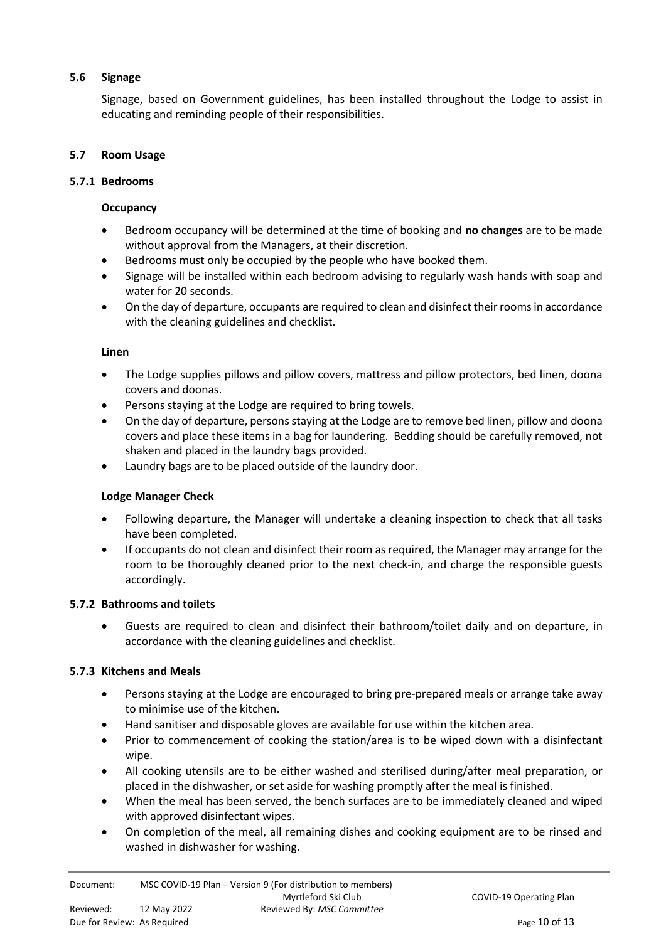#### <span id="page-9-0"></span>**5.6 Signage**

Signage, based on Government guidelines, has been installed throughout the Lodge to assist in educating and reminding people of their responsibilities.

#### <span id="page-9-1"></span>**5.7 Room Usage**

#### <span id="page-9-2"></span>**5.7.1 Bedrooms**

#### **Occupancy**

- Bedroom occupancy will be determined at the time of booking and **no changes** are to be made without approval from the Managers, at their discretion.
- Bedrooms must only be occupied by the people who have booked them.
- Signage will be installed within each bedroom advising to regularly wash hands with soap and water for 20 seconds.
- On the day of departure, occupants are required to clean and disinfect their rooms in accordance with the cleaning guidelines and checklist.

#### **Linen**

- The Lodge supplies pillows and pillow covers, mattress and pillow protectors, bed linen, doona covers and doonas.
- Persons staying at the Lodge are required to bring towels.
- On the day of departure, persons staying at the Lodge are to remove bed linen, pillow and doona covers and place these items in a bag for laundering. Bedding should be carefully removed, not shaken and placed in the laundry bags provided.
- Laundry bags are to be placed outside of the laundry door.

#### **Lodge Manager Check**

- Following departure, the Manager will undertake a cleaning inspection to check that all tasks have been completed.
- If occupants do not clean and disinfect their room as required, the Manager may arrange for the room to be thoroughly cleaned prior to the next check-in, and charge the responsible guests accordingly.

#### <span id="page-9-3"></span>**5.7.2 Bathrooms and toilets**

• Guests are required to clean and disinfect their bathroom/toilet daily and on departure, in accordance with the cleaning guidelines and checklist.

#### <span id="page-9-4"></span>**5.7.3 Kitchens and Meals**

- Persons staying at the Lodge are encouraged to bring pre-prepared meals or arrange take away to minimise use of the kitchen.
- Hand sanitiser and disposable gloves are available for use within the kitchen area.
- Prior to commencement of cooking the station/area is to be wiped down with a disinfectant wipe.
- All cooking utensils are to be either washed and sterilised during/after meal preparation, or placed in the dishwasher, or set aside for washing promptly after the meal is finished.
- When the meal has been served, the bench surfaces are to be immediately cleaned and wiped with approved disinfectant wipes.
- On completion of the meal, all remaining dishes and cooking equipment are to be rinsed and washed in dishwasher for washing.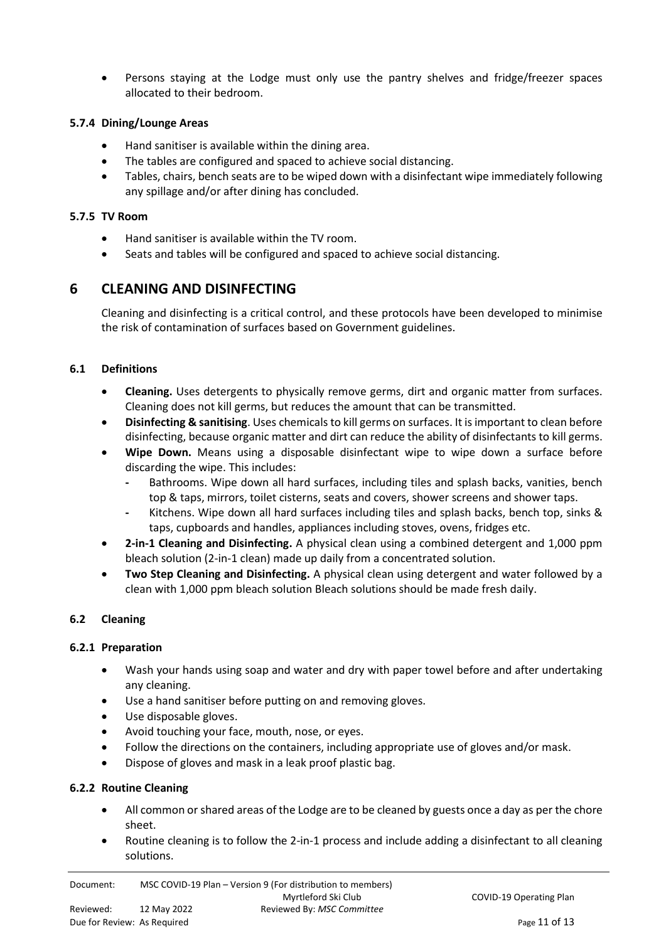Persons staying at the Lodge must only use the pantry shelves and fridge/freezer spaces allocated to their bedroom.

#### <span id="page-10-0"></span>**5.7.4 Dining/Lounge Areas**

- Hand sanitiser is available within the dining area.
- The tables are configured and spaced to achieve social distancing.
- Tables, chairs, bench seats are to be wiped down with a disinfectant wipe immediately following any spillage and/or after dining has concluded.

#### <span id="page-10-1"></span>**5.7.5 TV Room**

- Hand sanitiser is available within the TV room.
- Seats and tables will be configured and spaced to achieve social distancing.

#### <span id="page-10-2"></span>**6 CLEANING AND DISINFECTING**

Cleaning and disinfecting is a critical control, and these protocols have been developed to minimise the risk of contamination of surfaces based on Government guidelines.

#### <span id="page-10-3"></span>**6.1 Definitions**

- **Cleaning.** Uses detergents to physically remove germs, dirt and organic matter from surfaces. Cleaning does not kill germs, but reduces the amount that can be transmitted.
- **Disinfecting & sanitising**. Uses chemicals to kill germs on surfaces. It is important to clean before disinfecting, because organic matter and dirt can reduce the ability of disinfectants to kill germs.
- **Wipe Down.** Means using a disposable disinfectant wipe to wipe down a surface before discarding the wipe. This includes:
	- **-** Bathrooms. Wipe down all hard surfaces, including tiles and splash backs, vanities, bench top & taps, mirrors, toilet cisterns, seats and covers, shower screens and shower taps.
	- **-** Kitchens. Wipe down all hard surfaces including tiles and splash backs, bench top, sinks & taps, cupboards and handles, appliances including stoves, ovens, fridges etc.
- **2-in-1 Cleaning and Disinfecting.** A physical clean using a combined detergent and 1,000 ppm bleach solution (2-in-1 clean) made up daily from a concentrated solution.
- **Two Step Cleaning and Disinfecting.** A physical clean using detergent and water followed by a clean with 1,000 ppm bleach solution Bleach solutions should be made fresh daily.

#### <span id="page-10-4"></span>**6.2 Cleaning**

#### <span id="page-10-5"></span>**6.2.1 Preparation**

- Wash your hands using soap and water and dry with paper towel before and after undertaking any cleaning.
- Use a hand sanitiser before putting on and removing gloves.
- Use disposable gloves.
- Avoid touching your face, mouth, nose, or eyes.
- Follow the directions on the containers, including appropriate use of gloves and/or mask.
- Dispose of gloves and mask in a leak proof plastic bag.

#### <span id="page-10-6"></span>**6.2.2 Routine Cleaning**

- All common or shared areas of the Lodge are to be cleaned by guests once a day as per the chore sheet.
- Routine cleaning is to follow the 2-in-1 process and include adding a disinfectant to all cleaning solutions.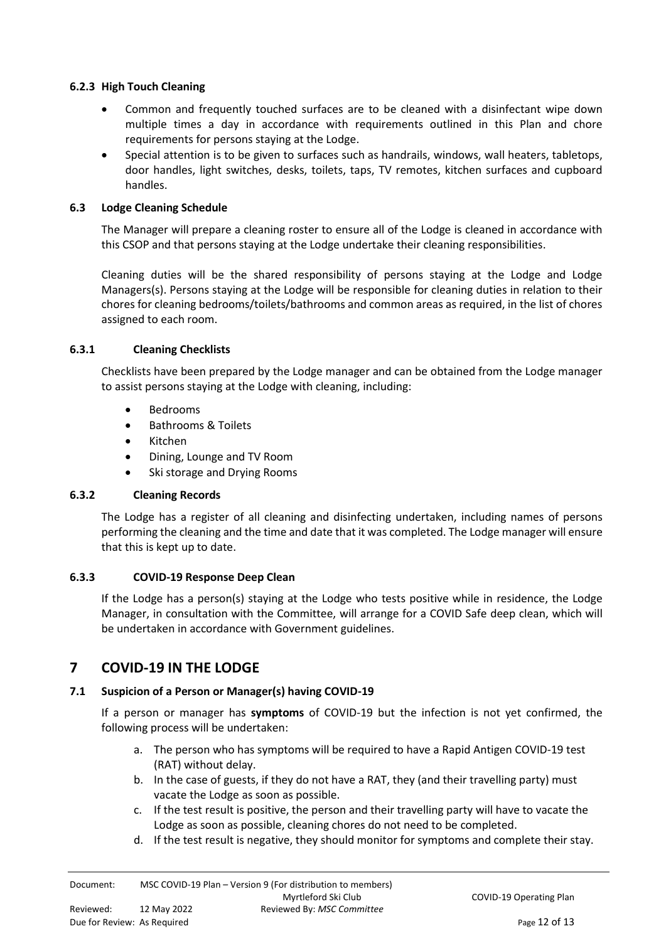#### <span id="page-11-0"></span>**6.2.3 High Touch Cleaning**

- Common and frequently touched surfaces are to be cleaned with a disinfectant wipe down multiple times a day in accordance with requirements outlined in this Plan and chore requirements for persons staying at the Lodge.
- Special attention is to be given to surfaces such as handrails, windows, wall heaters, tabletops, door handles, light switches, desks, toilets, taps, TV remotes, kitchen surfaces and cupboard handles.

#### <span id="page-11-1"></span>**6.3 Lodge Cleaning Schedule**

The Manager will prepare a cleaning roster to ensure all of the Lodge is cleaned in accordance with this CSOP and that persons staying at the Lodge undertake their cleaning responsibilities.

Cleaning duties will be the shared responsibility of persons staying at the Lodge and Lodge Managers(s). Persons staying at the Lodge will be responsible for cleaning duties in relation to their chores for cleaning bedrooms/toilets/bathrooms and common areas as required, in the list of chores assigned to each room.

#### **6.3.1 Cleaning Checklists**

<span id="page-11-2"></span>Checklists have been prepared by the Lodge manager and can be obtained from the Lodge manager to assist persons staying at the Lodge with cleaning, including:

- Bedrooms
- Bathrooms & Toilets
- Kitchen
- Dining, Lounge and TV Room
- <span id="page-11-3"></span>Ski storage and Drying Rooms

#### **6.3.2 Cleaning Records**

The Lodge has a register of all cleaning and disinfecting undertaken, including names of persons performing the cleaning and the time and date that it was completed. The Lodge manager will ensure that this is kept up to date.

#### **6.3.3 COVID-19 Response Deep Clean**

<span id="page-11-4"></span>If the Lodge has a person(s) staying at the Lodge who tests positive while in residence, the Lodge Manager, in consultation with the Committee, will arrange for a COVID Safe deep clean, which will be undertaken in accordance with Government guidelines.

#### <span id="page-11-5"></span>**7 COVID-19 IN THE LODGE**

#### <span id="page-11-6"></span>**7.1 Suspicion of a Person or Manager(s) having COVID-19**

If a person or manager has **symptoms** of COVID-19 but the infection is not yet confirmed, the following process will be undertaken:

- a. The person who has symptoms will be required to have a Rapid Antigen COVID-19 test (RAT) without delay.
- b. In the case of guests, if they do not have a RAT, they (and their travelling party) must vacate the Lodge as soon as possible.
- c. If the test result is positive, the person and their travelling party will have to vacate the Lodge as soon as possible, cleaning chores do not need to be completed.
- d. If the test result is negative, they should monitor for symptoms and complete their stay.